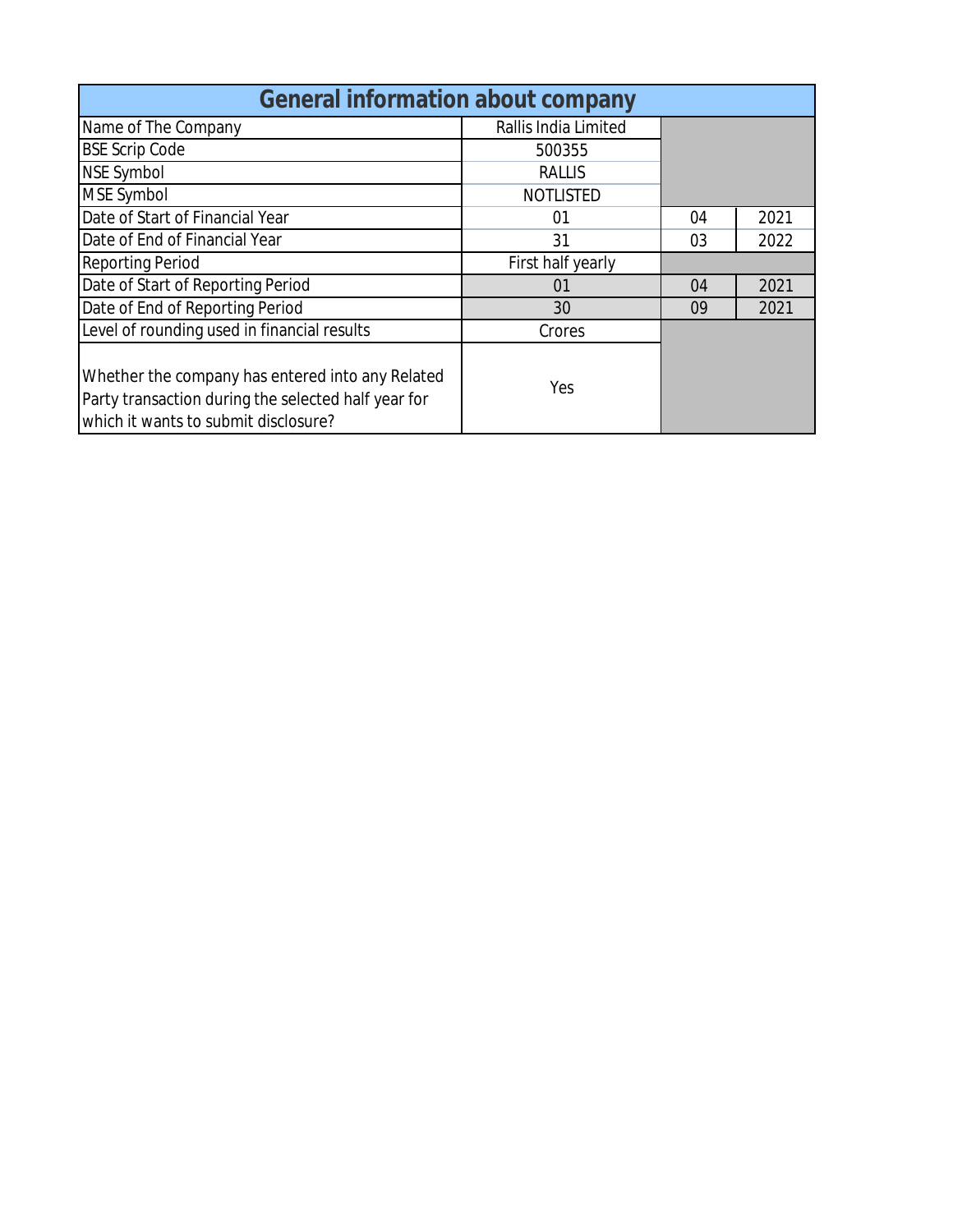| <b>General information about company</b>                                                                                                        |                      |    |      |  |  |  |  |  |  |  |
|-------------------------------------------------------------------------------------------------------------------------------------------------|----------------------|----|------|--|--|--|--|--|--|--|
| Name of The Company                                                                                                                             | Rallis India Limited |    |      |  |  |  |  |  |  |  |
| <b>BSE Scrip Code</b>                                                                                                                           | 500355               |    |      |  |  |  |  |  |  |  |
| <b>NSE Symbol</b>                                                                                                                               | <b>RALLIS</b>        |    |      |  |  |  |  |  |  |  |
| <b>MSE Symbol</b>                                                                                                                               | <b>NOTLISTED</b>     |    |      |  |  |  |  |  |  |  |
| Date of Start of Financial Year                                                                                                                 | 01                   | 04 | 2021 |  |  |  |  |  |  |  |
| Date of End of Financial Year                                                                                                                   | 31                   | 03 | 2022 |  |  |  |  |  |  |  |
| <b>Reporting Period</b>                                                                                                                         | First half yearly    |    |      |  |  |  |  |  |  |  |
| Date of Start of Reporting Period                                                                                                               | 01                   | 04 | 2021 |  |  |  |  |  |  |  |
| Date of End of Reporting Period                                                                                                                 | 30                   | 09 | 2021 |  |  |  |  |  |  |  |
| Level of rounding used in financial results                                                                                                     | Crores               |    |      |  |  |  |  |  |  |  |
| Whether the company has entered into any Related<br>Party transaction during the selected half year for<br>which it wants to submit disclosure? | Yes                  |    |      |  |  |  |  |  |  |  |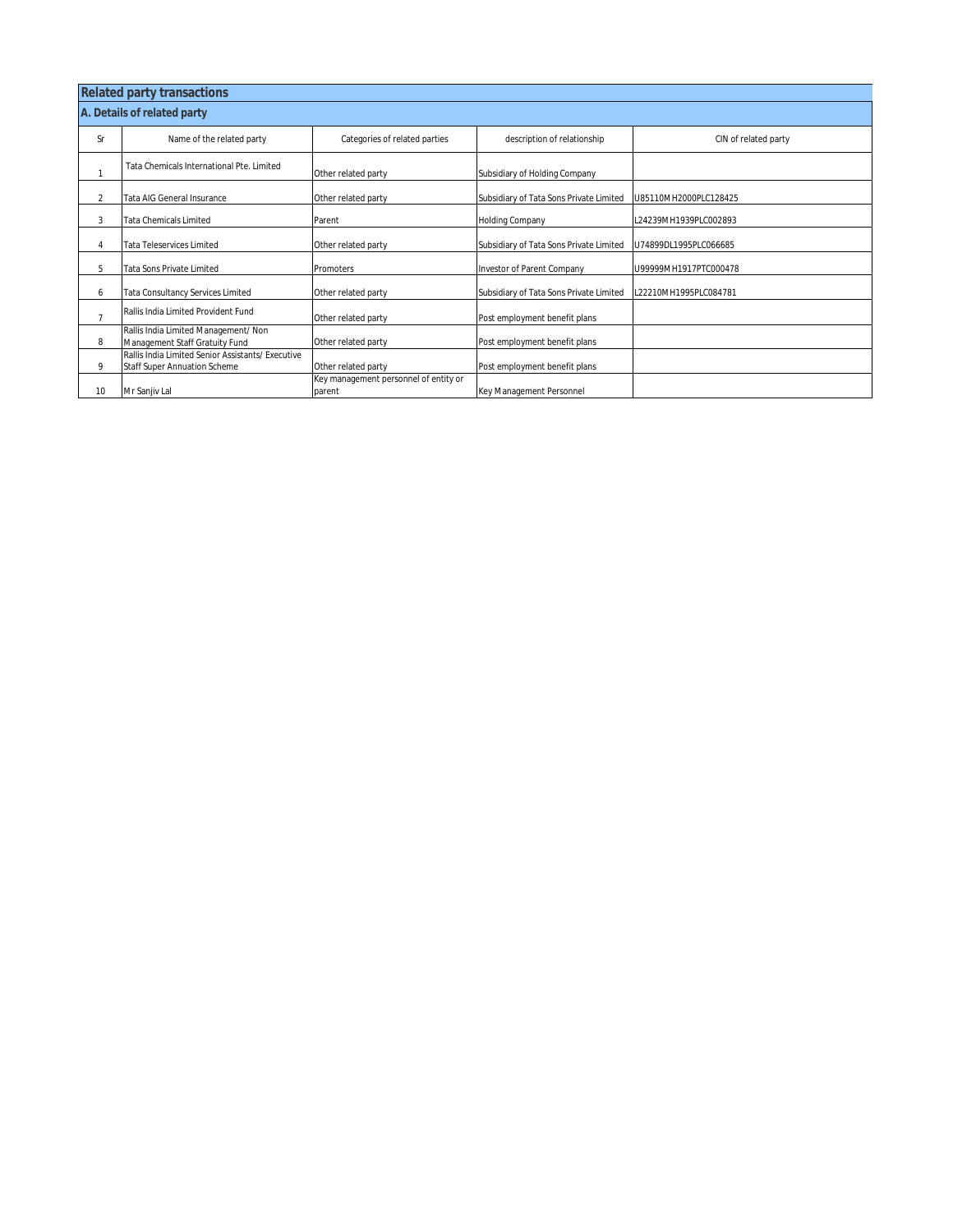|                | <b>Related party transactions</b>                                                        |                                                 |                                         |                       |  |  |  |  |  |  |  |  |
|----------------|------------------------------------------------------------------------------------------|-------------------------------------------------|-----------------------------------------|-----------------------|--|--|--|--|--|--|--|--|
|                | A. Details of related party                                                              |                                                 |                                         |                       |  |  |  |  |  |  |  |  |
| Sr             | Name of the related party                                                                | Categories of related parties                   | description of relationship             | CIN of related party  |  |  |  |  |  |  |  |  |
|                | Tata Chemicals International Pte. Limited                                                | Other related party                             | Subsidiary of Holding Company           |                       |  |  |  |  |  |  |  |  |
| 2              | Tata AIG General Insurance                                                               | Other related party                             | Subsidiary of Tata Sons Private Limited | U85110MH2000PLC128425 |  |  |  |  |  |  |  |  |
| 3              | Tata Chemicals Limited                                                                   | Parent                                          | Holding Company                         | L24239MH1939PLC002893 |  |  |  |  |  |  |  |  |
| 4              | Tata Teleservices Limited                                                                | Other related party                             | Subsidiary of Tata Sons Private Limited | U74899DL1995PLC066685 |  |  |  |  |  |  |  |  |
| 5              | <b>Tata Sons Private Limited</b>                                                         | Promoters                                       | Investor of Parent Company              | U99999MH1917PTC000478 |  |  |  |  |  |  |  |  |
| 6              | Tata Consultancy Services Limited                                                        | Other related party                             | Subsidiary of Tata Sons Private Limited | L22210MH1995PLC084781 |  |  |  |  |  |  |  |  |
| $\overline{7}$ | Rallis India Limited Provident Fund                                                      | Other related party                             | Post employment benefit plans           |                       |  |  |  |  |  |  |  |  |
| 8              | Rallis India Limited Management/ Non<br>Management Staff Gratuity Fund                   | Other related party                             | Post employment benefit plans           |                       |  |  |  |  |  |  |  |  |
| 9              | Rallis India Limited Senior Assistants/ Executive<br><b>Staff Super Annuation Scheme</b> | Other related party                             | Post employment benefit plans           |                       |  |  |  |  |  |  |  |  |
| 10             | Mr Sanjiv Lal                                                                            | Key management personnel of entity or<br>parent | Key Management Personnel                |                       |  |  |  |  |  |  |  |  |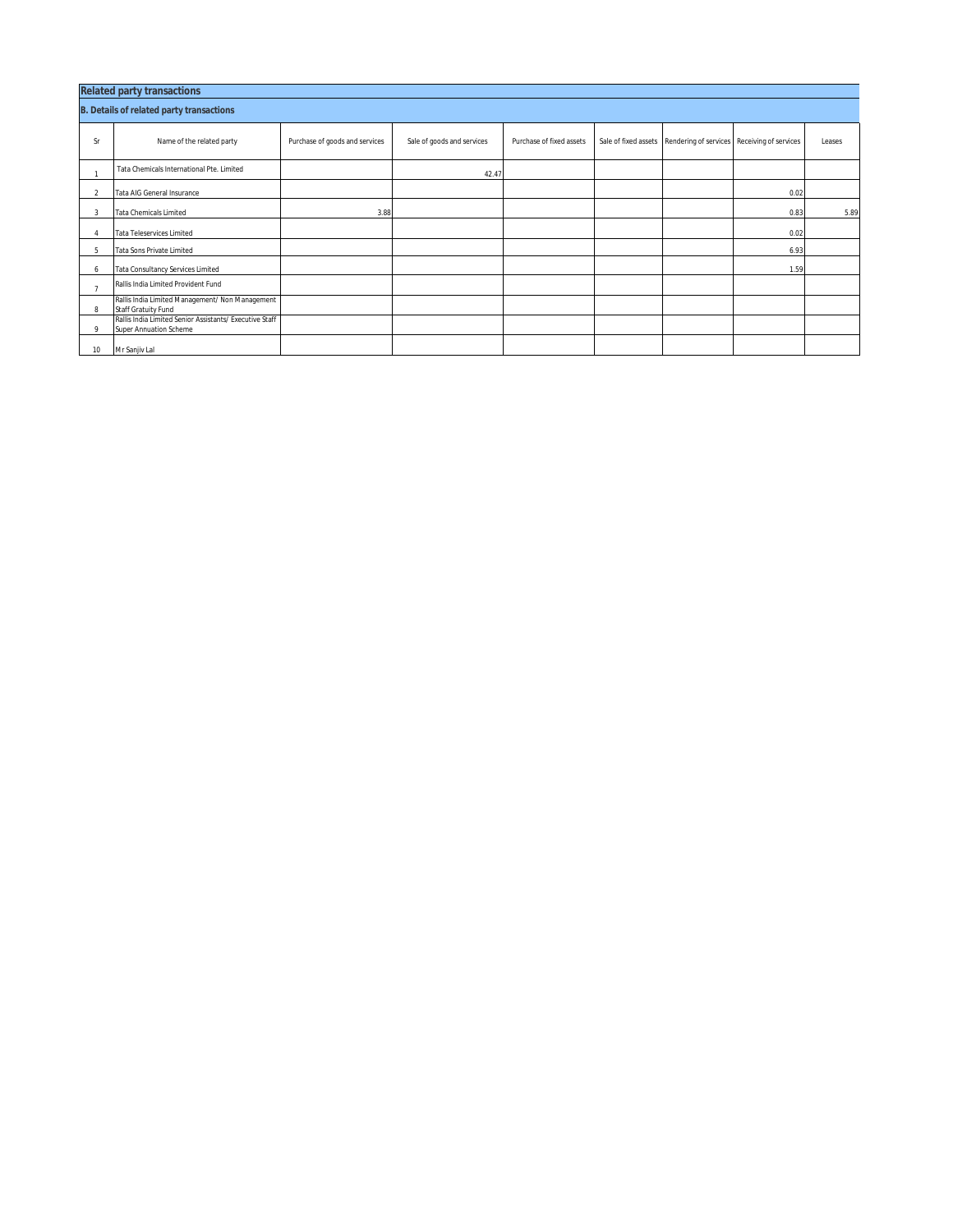| <b>Related party transactions</b>               |                                                                                          |                                |                            |                          |  |                                                                  |      |        |  |  |  |  |
|-------------------------------------------------|------------------------------------------------------------------------------------------|--------------------------------|----------------------------|--------------------------|--|------------------------------------------------------------------|------|--------|--|--|--|--|
| <b>B. Details of related party transactions</b> |                                                                                          |                                |                            |                          |  |                                                                  |      |        |  |  |  |  |
| Sr                                              | Name of the related party                                                                | Purchase of goods and services | Sale of goods and services | Purchase of fixed assets |  | Sale of fixed assets Rendering of services Receiving of services |      | Leases |  |  |  |  |
|                                                 | Tata Chemicals International Pte. Limited                                                |                                | 42.47                      |                          |  |                                                                  |      |        |  |  |  |  |
|                                                 | Tata AIG General Insurance                                                               |                                |                            |                          |  |                                                                  | 0.02 |        |  |  |  |  |
| 3                                               | <b>Tata Chemicals Limited</b>                                                            | 3.88                           |                            |                          |  |                                                                  | 0.83 | 5.89   |  |  |  |  |
|                                                 | <b>Tata Teleservices Limited</b>                                                         |                                |                            |                          |  |                                                                  | 0.02 |        |  |  |  |  |
| 5                                               | Tata Sons Private Limited                                                                |                                |                            |                          |  |                                                                  | 6.93 |        |  |  |  |  |
| 6                                               | Tata Consultancy Services Limited                                                        |                                |                            |                          |  |                                                                  | 1.59 |        |  |  |  |  |
| $\mathbf{z}$                                    | Rallis India Limited Provident Fund                                                      |                                |                            |                          |  |                                                                  |      |        |  |  |  |  |
| 8                                               | Rallis India Limited Management/ Non Management<br>Staff Gratuity Fund                   |                                |                            |                          |  |                                                                  |      |        |  |  |  |  |
| $\circ$                                         | Rallis India Limited Senior Assistants/ Executive Staff<br><b>Super Annuation Scheme</b> |                                |                            |                          |  |                                                                  |      |        |  |  |  |  |
| 10                                              | Mr Sanjiv Lal                                                                            |                                |                            |                          |  |                                                                  |      |        |  |  |  |  |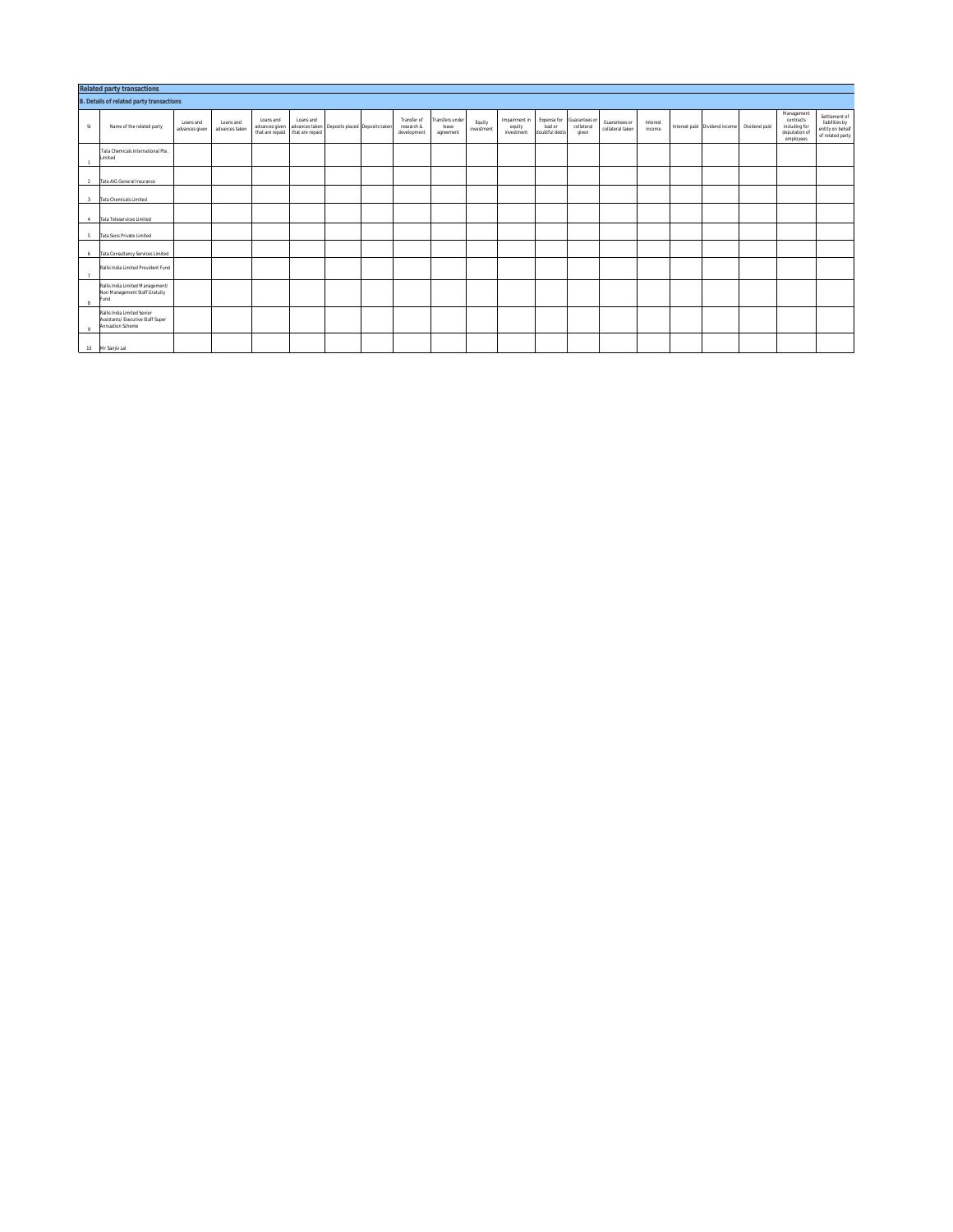|                | <b>Related party transactions</b>                                                    |                             |                             |                             |                                              |                                               |  |                                          |                                       |                      |                                       |                          |                                                  |                                   |                    |                               |               |                                                                        |                                                                         |
|----------------|--------------------------------------------------------------------------------------|-----------------------------|-----------------------------|-----------------------------|----------------------------------------------|-----------------------------------------------|--|------------------------------------------|---------------------------------------|----------------------|---------------------------------------|--------------------------|--------------------------------------------------|-----------------------------------|--------------------|-------------------------------|---------------|------------------------------------------------------------------------|-------------------------------------------------------------------------|
|                | <b>B. Details of related party transactions</b>                                      |                             |                             |                             |                                              |                                               |  |                                          |                                       |                      |                                       |                          |                                                  |                                   |                    |                               |               |                                                                        |                                                                         |
| S              | Name of the related party                                                            | Loans and<br>advances given | Loans and<br>advances taken | Loans and<br>advances given | Loans and<br>that are repaid that are repaid | advances taken Deposits placed Deposits taken |  | Transfer of<br>research &<br>development | Fransfers under<br>lease<br>agreement | Equity<br>investment | Impairment in<br>equity<br>investment | bad or<br>doubtful debts | Expense for Guarantees or<br>collateral<br>given | Guarantees or<br>collateral taken | Interest<br>income | Interest paid Dividend income | Dividend paid | Management<br>contracts<br>including for<br>deputation of<br>employees | Settlement of<br>liabilities by<br>entity on behalf<br>of related party |
|                | Tata Chemicals International Pte.<br>Limited                                         |                             |                             |                             |                                              |                                               |  |                                          |                                       |                      |                                       |                          |                                                  |                                   |                    |                               |               |                                                                        |                                                                         |
| <sup>2</sup>   | Tata AIG General Insurance                                                           |                             |                             |                             |                                              |                                               |  |                                          |                                       |                      |                                       |                          |                                                  |                                   |                    |                               |               |                                                                        |                                                                         |
| $\overline{3}$ | Tata Chemicals Limited                                                               |                             |                             |                             |                                              |                                               |  |                                          |                                       |                      |                                       |                          |                                                  |                                   |                    |                               |               |                                                                        |                                                                         |
| $\sim$         | Tata Teleservices Limited                                                            |                             |                             |                             |                                              |                                               |  |                                          |                                       |                      |                                       |                          |                                                  |                                   |                    |                               |               |                                                                        |                                                                         |
| 5              | Tata Sons Private Limited                                                            |                             |                             |                             |                                              |                                               |  |                                          |                                       |                      |                                       |                          |                                                  |                                   |                    |                               |               |                                                                        |                                                                         |
| 6              | Tata Consultancy Services Limited                                                    |                             |                             |                             |                                              |                                               |  |                                          |                                       |                      |                                       |                          |                                                  |                                   |                    |                               |               |                                                                        |                                                                         |
| $\overline{7}$ | Rallis India Limited Provident Fund                                                  |                             |                             |                             |                                              |                                               |  |                                          |                                       |                      |                                       |                          |                                                  |                                   |                    |                               |               |                                                                        |                                                                         |
| 8              | Rallis India Limited Management/<br>Non Management Staff Gratuity<br>Fund            |                             |                             |                             |                                              |                                               |  |                                          |                                       |                      |                                       |                          |                                                  |                                   |                    |                               |               |                                                                        |                                                                         |
| 9              | Rallis India Limited Senior<br>Assistants/ Executive Staff Super<br>Annuation Scheme |                             |                             |                             |                                              |                                               |  |                                          |                                       |                      |                                       |                          |                                                  |                                   |                    |                               |               |                                                                        |                                                                         |
| 10             | Mr Saniiv Lal                                                                        |                             |                             |                             |                                              |                                               |  |                                          |                                       |                      |                                       |                          |                                                  |                                   |                    |                               |               |                                                                        |                                                                         |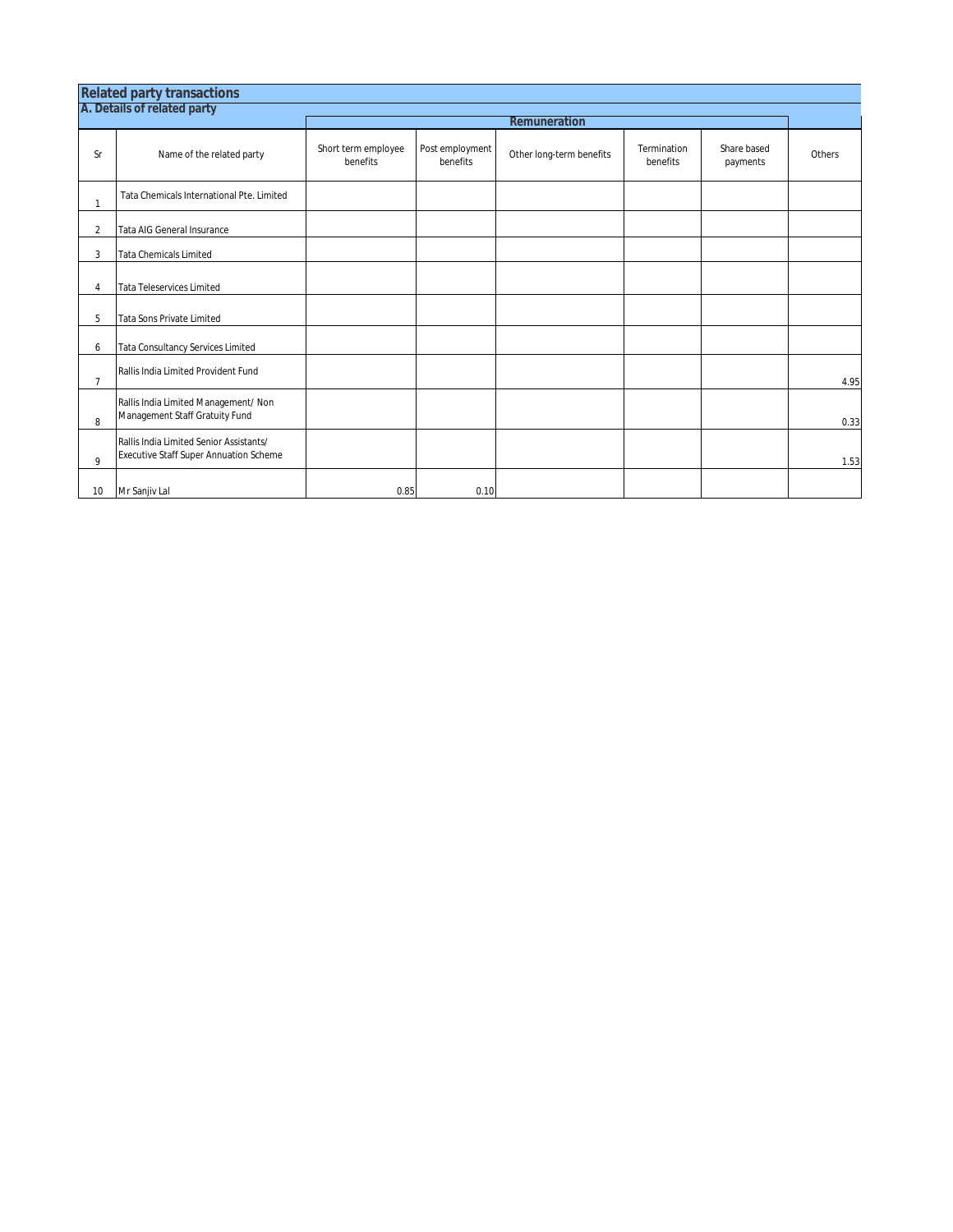|                | A. Details of related party                                                       | Remuneration                    |                             |                          |                         |                         |        |  |  |  |  |
|----------------|-----------------------------------------------------------------------------------|---------------------------------|-----------------------------|--------------------------|-------------------------|-------------------------|--------|--|--|--|--|
| <b>Sr</b>      | Name of the related party                                                         | Short term employee<br>benefits | Post employment<br>benefits | Other long-term benefits | Termination<br>benefits | Share based<br>payments | Others |  |  |  |  |
| $\mathbf{1}$   | Tata Chemicals International Pte. Limited                                         |                                 |                             |                          |                         |                         |        |  |  |  |  |
| $\overline{2}$ | Tata AIG General Insurance                                                        |                                 |                             |                          |                         |                         |        |  |  |  |  |
| 3              | <b>Tata Chemicals Limited</b>                                                     |                                 |                             |                          |                         |                         |        |  |  |  |  |
| $\overline{A}$ | <b>Tata Teleservices Limited</b>                                                  |                                 |                             |                          |                         |                         |        |  |  |  |  |
| 5              | <b>Tata Sons Private Limited</b>                                                  |                                 |                             |                          |                         |                         |        |  |  |  |  |
| 6              | Tata Consultancy Services Limited                                                 |                                 |                             |                          |                         |                         |        |  |  |  |  |
| $\overline{7}$ | Rallis India Limited Provident Fund                                               |                                 |                             |                          |                         |                         | 4.95   |  |  |  |  |
| 8              | Rallis India Limited Management/ Non<br>Management Staff Gratuity Fund            |                                 |                             |                          |                         |                         | 0.33   |  |  |  |  |
| $\mathbf{Q}$   | Rallis India Limited Senior Assistants/<br>Executive Staff Super Annuation Scheme |                                 |                             |                          |                         |                         | 1.53   |  |  |  |  |
| 10             | Mr Sanjiv Lal                                                                     | 0.85                            | 0.10                        |                          |                         |                         |        |  |  |  |  |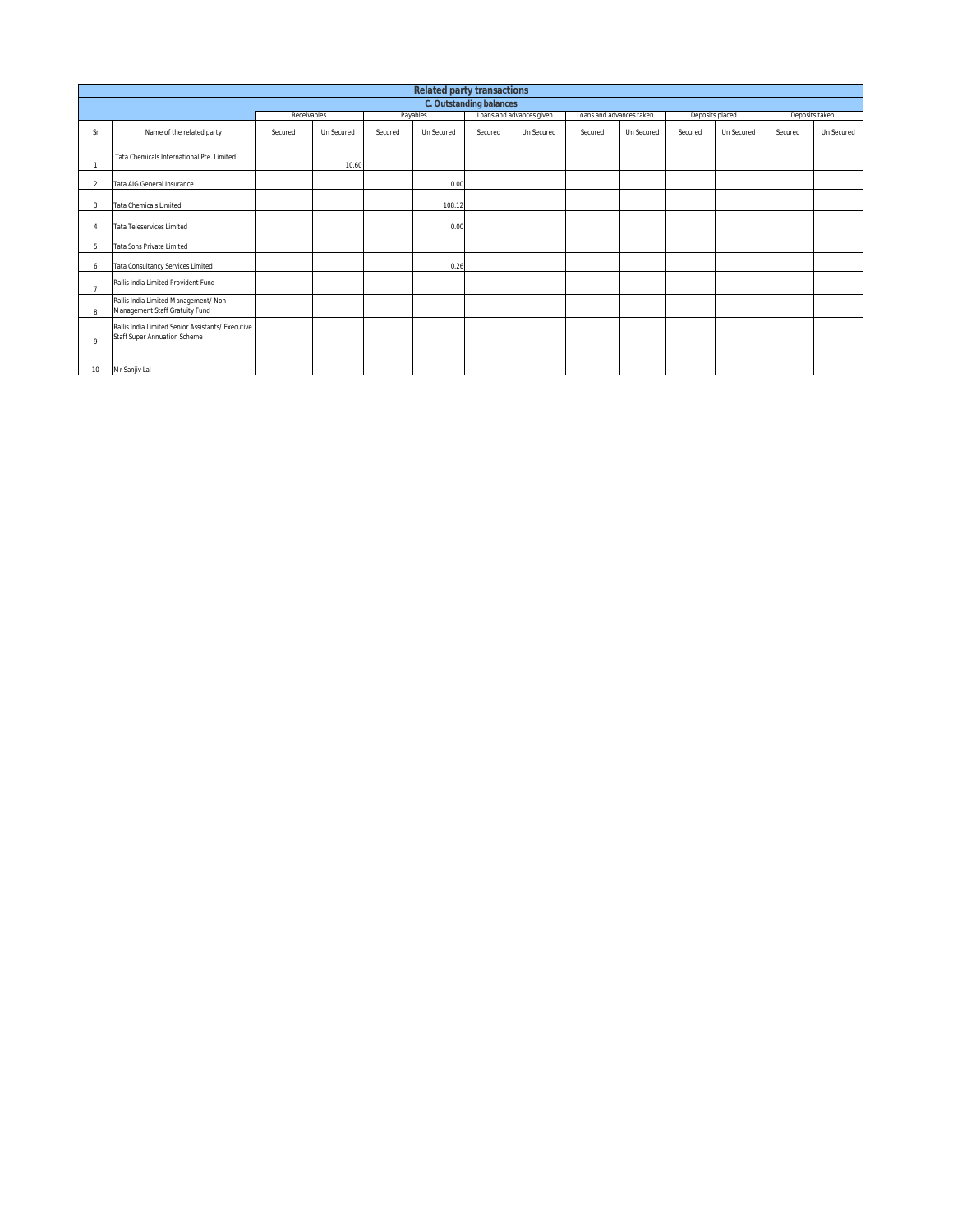|         | <b>Related party transactions</b>                                                        |             |            |         |            |         |                          |                          |            |                 |            |                |            |
|---------|------------------------------------------------------------------------------------------|-------------|------------|---------|------------|---------|--------------------------|--------------------------|------------|-----------------|------------|----------------|------------|
|         | <b>C. Outstanding balances</b>                                                           |             |            |         |            |         |                          |                          |            |                 |            |                |            |
|         |                                                                                          | Receivables |            |         | Payables   |         | Loans and advances given | Loans and advances taken |            | Deposits placed |            | Deposits taken |            |
| Sr      | Name of the related party                                                                | Secured     | Un Secured | Secured | Un Secured | Secured | Un Secured               | Secured                  | Un Secured | Secured         | Un Secured | Secured        | Un Secured |
|         | Tata Chemicals International Pte. Limited                                                |             | 10.60      |         |            |         |                          |                          |            |                 |            |                |            |
| 2       | Tata AIG General Insurance                                                               |             |            |         | 0.00       |         |                          |                          |            |                 |            |                |            |
| 3       | <b>Tata Chemicals Limited</b>                                                            |             |            |         | 108.12     |         |                          |                          |            |                 |            |                |            |
|         | <b>Tata Teleservices Limited</b>                                                         |             |            |         | 0.00       |         |                          |                          |            |                 |            |                |            |
| 5       | <b>Tata Sons Private Limited</b>                                                         |             |            |         |            |         |                          |                          |            |                 |            |                |            |
| 6       | Tata Consultancy Services Limited                                                        |             |            |         | 0.26       |         |                          |                          |            |                 |            |                |            |
|         | Rallis India Limited Provident Fund                                                      |             |            |         |            |         |                          |                          |            |                 |            |                |            |
| 8       | Rallis India Limited Management/ Non<br>Management Staff Gratuity Fund                   |             |            |         |            |         |                          |                          |            |                 |            |                |            |
| $\circ$ | Rallis India Limited Senior Assistants/ Executive<br><b>Staff Super Annuation Scheme</b> |             |            |         |            |         |                          |                          |            |                 |            |                |            |
| 10      | Mr Sanjiv Lal                                                                            |             |            |         |            |         |                          |                          |            |                 |            |                |            |